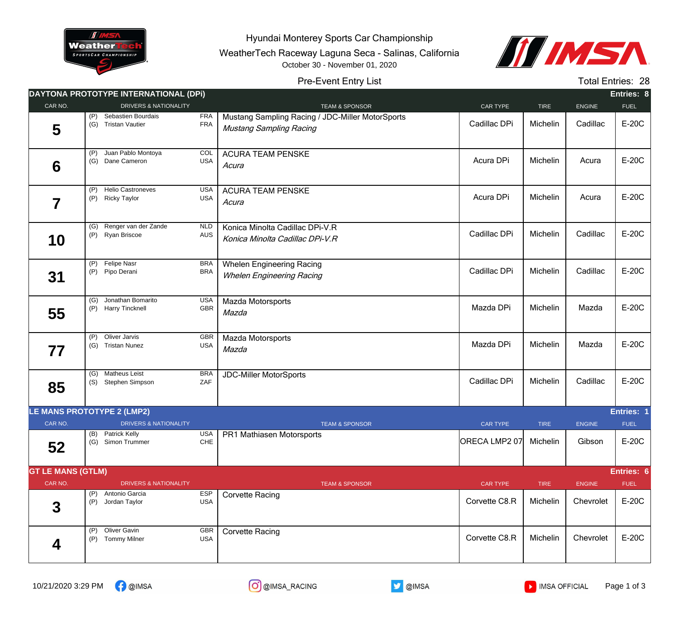

Hyundai Monterey Sports Car Championship

WeatherTech Raceway Laguna Seca - Salinas, California October 30 - November 01, 2020



## Pre-Event Entry List

Total Entries: 28

|                            |            | DAYTONA PROTOTYPE INTERNATIONAL (DPI)           |                          |                                                                                    |                 |             |               | Entries: 8  |
|----------------------------|------------|-------------------------------------------------|--------------------------|------------------------------------------------------------------------------------|-----------------|-------------|---------------|-------------|
| CAR NO.                    |            | <b>DRIVERS &amp; NATIONALITY</b>                |                          | <b>TEAM &amp; SPONSOR</b>                                                          | CAR TYPE        | <b>TIRE</b> | <b>ENGINE</b> | <b>FUEL</b> |
| 5                          | (P)<br>(G) | Sebastien Bourdais<br><b>Tristan Vautier</b>    | <b>FRA</b><br>FRA        | Mustang Sampling Racing / JDC-Miller MotorSports<br><b>Mustang Sampling Racing</b> | Cadillac DPi    | Michelin    | Cadillac      | E-20C       |
| 6                          | (P)<br>(G) | Juan Pablo Montoya<br>Dane Cameron              | COL<br><b>USA</b>        | <b>ACURA TEAM PENSKE</b><br>Acura                                                  | Acura DPi       | Michelin    | Acura         | E-20C       |
| 7                          | (P)<br>(P) | <b>Helio Castroneves</b><br><b>Ricky Taylor</b> | <b>USA</b><br><b>USA</b> | <b>ACURA TEAM PENSKE</b><br>Acura                                                  | Acura DPi       | Michelin    | Acura         | E-20C       |
| 10                         |            | (G) Renger van der Zande<br>(P) Ryan Briscoe    | <b>NLD</b><br>AUS        | Konica Minolta Cadillac DPi-V.R<br>Konica Minolta Cadillac DPi-V.R                 | Cadillac DPi    | Michelin    | Cadillac      | $E-20C$     |
| 31                         |            | (P) Felipe Nasr<br>(P) Pipo Derani              | <b>BRA</b><br><b>BRA</b> | <b>Whelen Engineering Racing</b><br><b>Whelen Engineering Racing</b>               | Cadillac DPi    | Michelin    | Cadillac      | E-20C       |
| 55                         | (P)        | (G) Jonathan Bomarito<br><b>Harry Tincknell</b> | <b>USA</b><br>GBR        | Mazda Motorsports<br>Mazda                                                         | Mazda DPi       | Michelin    | Mazda         | E-20C       |
| 77                         | (P)<br>(G) | Oliver Jarvis<br><b>Tristan Nunez</b>           | <b>GBR</b><br><b>USA</b> | Mazda Motorsports<br>Mazda                                                         | Mazda DPi       | Michelin    | Mazda         | E-20C       |
| 85                         | (G)<br>(S) | <b>Matheus Leist</b><br>Stephen Simpson         | <b>BRA</b><br>ZAF        | <b>JDC-Miller MotorSports</b>                                                      | Cadillac DPi    | Michelin    | Cadillac      | E-20C       |
| LE MANS PROTOTYPE 2 (LMP2) |            |                                                 |                          |                                                                                    |                 |             |               | Entries: 1  |
| CAR NO.                    |            | <b>DRIVERS &amp; NATIONALITY</b>                |                          | <b>TEAM &amp; SPONSOR</b>                                                          | <b>CAR TYPE</b> | <b>TIRE</b> | <b>ENGINE</b> | <b>FUEL</b> |
| 52                         |            | (B) Patrick Kelly<br>(G) Simon Trummer          | USA<br>CHE               | PR1 Mathiasen Motorsports                                                          | ORECA LMP2 07   | Michelin    | Gibson        | $E-20C$     |
| <b>GT LE MANS (GTLM)</b>   |            |                                                 |                          |                                                                                    |                 |             |               | Entries: 6  |
| CAR NO.                    |            | <b>DRIVERS &amp; NATIONALITY</b>                |                          | <b>TEAM &amp; SPONSOR</b>                                                          | <b>CAR TYPE</b> | <b>TIRE</b> | <b>ENGINE</b> | <b>FUEL</b> |
| $\boldsymbol{3}$           | (P)<br>(P) | Antonio Garcia<br>Jordan Taylor                 | <b>ESP</b><br><b>USA</b> | <b>Corvette Racing</b>                                                             | Corvette C8.R   | Michelin    | Chevrolet     | E-20C       |
| 4                          | (P)<br>(P) | Oliver Gavin<br><b>Tommy Milner</b>             | <b>GBR</b><br><b>USA</b> | <b>Corvette Racing</b>                                                             | Corvette C8.R   | Michelin    | Chevrolet     | E-20C       |



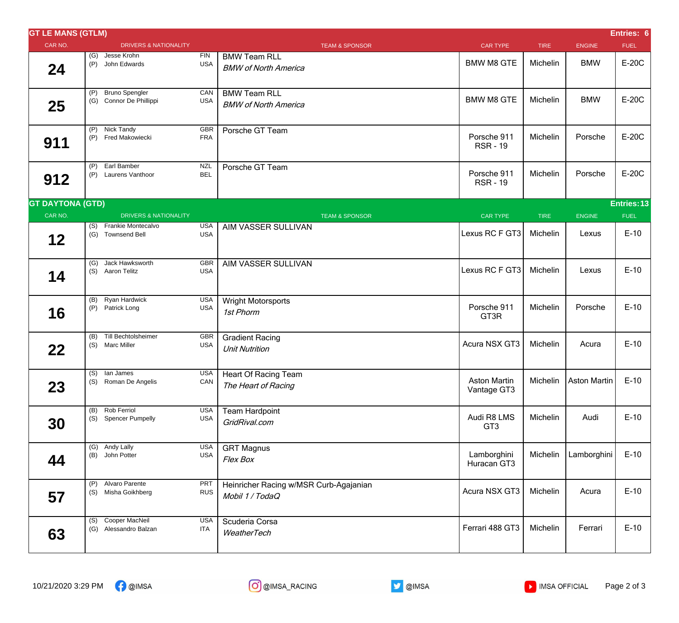| Entries: 6<br><b>GT LE MANS (GTLM)</b> |            |                                                  |                          |                                                           |                                |             |               |             |  |
|----------------------------------------|------------|--------------------------------------------------|--------------------------|-----------------------------------------------------------|--------------------------------|-------------|---------------|-------------|--|
| CAR NO.                                |            | <b>DRIVERS &amp; NATIONALITY</b>                 |                          | <b>TEAM &amp; SPONSOR</b>                                 | <b>CAR TYPE</b>                | <b>TIRE</b> | <b>ENGINE</b> | <b>FUEL</b> |  |
| 24                                     |            | (G) Jesse Krohn<br>(P) John Edwards              | <b>FIN</b><br><b>USA</b> | <b>BMW Team RLL</b><br><b>BMW of North America</b>        | <b>BMW M8 GTE</b>              | Michelin    | <b>BMW</b>    | E-20C       |  |
| 25                                     | (P)        | <b>Bruno Spengler</b><br>(G) Connor De Phillippi | CAN<br><b>USA</b>        | <b>BMW Team RLL</b><br><b>BMW of North America</b>        | <b>BMW M8 GTE</b>              | Michelin    | <b>BMW</b>    | E-20C       |  |
| 911                                    |            | (P) Nick Tandy<br>(P) Fred Makowiecki            | GBR<br><b>FRA</b>        | Porsche GT Team                                           | Porsche 911<br><b>RSR-19</b>   | Michelin    | Porsche       | E-20C       |  |
| 912                                    | (P)        | Earl Bamber<br>(P) Laurens Vanthoor              | <b>NZL</b><br><b>BEL</b> | Porsche GT Team                                           | Porsche 911<br><b>RSR-19</b>   | Michelin    | Porsche       | E-20C       |  |
| <b>GT DAYTONA (GTD)</b><br>Entries: 13 |            |                                                  |                          |                                                           |                                |             |               |             |  |
| CAR NO.                                |            | <b>DRIVERS &amp; NATIONALITY</b>                 |                          | <b>TEAM &amp; SPONSOR</b>                                 | <b>CAR TYPE</b>                | <b>TIRE</b> | <b>ENGINE</b> | <b>FUEL</b> |  |
| 12                                     |            | (S) Frankie Montecalvo<br>(G) Townsend Bell      | <b>USA</b><br><b>USA</b> | AIM VASSER SULLIVAN                                       | Lexus RC F GT3                 | Michelin    | Lexus         | $E-10$      |  |
| 14                                     |            | (G) Jack Hawksworth<br>(S) Aaron Telitz          | GBR<br><b>USA</b>        | AIM VASSER SULLIVAN                                       | Lexus RC F GT3                 | Michelin    | Lexus         | $E-10$      |  |
| 16                                     | (P)        | (B) Ryan Hardwick<br>Patrick Long                | <b>USA</b><br><b>USA</b> | Wright Motorsports<br>1st Phorm                           | Porsche 911<br>GT3R            | Michelin    | Porsche       | $E-10$      |  |
| 22                                     |            | (B) Till Bechtolsheimer<br>(S) Marc Miller       | GBR<br><b>USA</b>        | <b>Gradient Racing</b><br><b>Unit Nutrition</b>           | Acura NSX GT3                  | Michelin    | Acura         | $E-10$      |  |
| 23                                     |            | (S) lan James<br>(S) Roman De Angelis            | <b>USA</b><br>CAN        | Heart Of Racing Team<br>The Heart of Racing               | Aston Martin<br>Vantage GT3    | Michelin    | Aston Martin  | $E-10$      |  |
| 30                                     | (B)<br>(S) | Rob Ferriol<br><b>Spencer Pumpelly</b>           | <b>USA</b><br><b>USA</b> | <b>Team Hardpoint</b><br>GridRival.com                    | Audi R8 LMS<br>GT <sub>3</sub> | Michelin    | Audi          | $E-10$      |  |
| 44                                     |            | (G) Andy Lally<br>(B) John Potter                | <b>USA</b><br><b>USA</b> | <b>GRT Magnus</b><br>Flex Box                             | Lamborghini<br>Huracan GT3     | Michelin    | Lamborghini   | $E-10$      |  |
| 57                                     | (P)<br>(S) | Alvaro Parente<br>Misha Goikhberg                | PRT<br><b>RUS</b>        | Heinricher Racing w/MSR Curb-Agajanian<br>Mobil 1 / TodaQ | Acura NSX GT3                  | Michelin    | Acura         | $E-10$      |  |
| 63                                     |            | (S) Cooper MacNeil<br>(G) Alessandro Balzan      | <b>USA</b><br>ITA        | Scuderia Corsa<br>WeatherTech                             | Ferrari 488 GT3                | Michelin    | Ferrari       | $E-10$      |  |